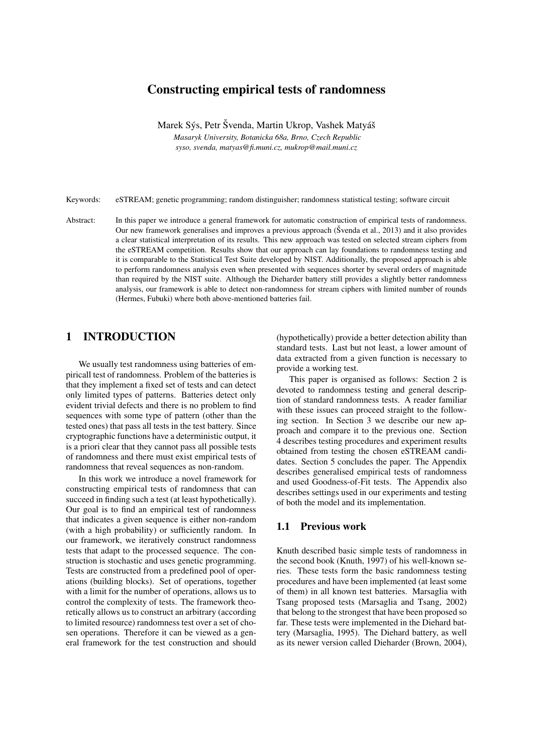# Constructing empirical tests of randomness

Marek Sýs, Petr Švenda, Martin Ukrop, Vashek Matyáš *Masaryk University, Botanicka 68a, Brno, Czech Republic syso, svenda, matyas@fi.muni.cz, mukrop@mail.muni.cz*

Keywords: eSTREAM; genetic programming; random distinguisher; randomness statistical testing; software circuit

Abstract: In this paper we introduce a general framework for automatic construction of empirical tests of randomness. Our new framework generalises and improves a previous approach (Svenda et al., 2013) and it also provides a clear statistical interpretation of its results. This new approach was tested on selected stream ciphers from the eSTREAM competition. Results show that our approach can lay foundations to randomness testing and it is comparable to the Statistical Test Suite developed by NIST. Additionally, the proposed approach is able to perform randomness analysis even when presented with sequences shorter by several orders of magnitude than required by the NIST suite. Although the Dieharder battery still provides a slightly better randomness analysis, our framework is able to detect non-randomness for stream ciphers with limited number of rounds (Hermes, Fubuki) where both above-mentioned batteries fail.

# 1 INTRODUCTION

We usually test randomness using batteries of empiricall test of randomness. Problem of the batteries is that they implement a fixed set of tests and can detect only limited types of patterns. Batteries detect only evident trivial defects and there is no problem to find sequences with some type of pattern (other than the tested ones) that pass all tests in the test battery. Since cryptographic functions have a deterministic output, it is a priori clear that they cannot pass all possible tests of randomness and there must exist empirical tests of randomness that reveal sequences as non-random.

In this work we introduce a novel framework for constructing empirical tests of randomness that can succeed in finding such a test (at least hypothetically). Our goal is to find an empirical test of randomness that indicates a given sequence is either non-random (with a high probability) or sufficiently random. In our framework, we iteratively construct randomness tests that adapt to the processed sequence. The construction is stochastic and uses genetic programming. Tests are constructed from a predefined pool of operations (building blocks). Set of operations, together with a limit for the number of operations, allows us to control the complexity of tests. The framework theoretically allows us to construct an arbitrary (according to limited resource) randomness test over a set of chosen operations. Therefore it can be viewed as a general framework for the test construction and should

(hypothetically) provide a better detection ability than standard tests. Last but not least, a lower amount of data extracted from a given function is necessary to provide a working test.

This paper is organised as follows: Section 2 is devoted to randomness testing and general description of standard randomness tests. A reader familiar with these issues can proceed straight to the following section. In Section 3 we describe our new approach and compare it to the previous one. Section 4 describes testing procedures and experiment results obtained from testing the chosen eSTREAM candidates. Section 5 concludes the paper. The Appendix describes generalised empirical tests of randomness and used Goodness-of-Fit tests. The Appendix also describes settings used in our experiments and testing of both the model and its implementation.

# 1.1 Previous work

Knuth described basic simple tests of randomness in the second book (Knuth, 1997) of his well-known series. These tests form the basic randomness testing procedures and have been implemented (at least some of them) in all known test batteries. Marsaglia with Tsang proposed tests (Marsaglia and Tsang, 2002) that belong to the strongest that have been proposed so far. These tests were implemented in the Diehard battery (Marsaglia, 1995). The Diehard battery, as well as its newer version called Dieharder (Brown, 2004),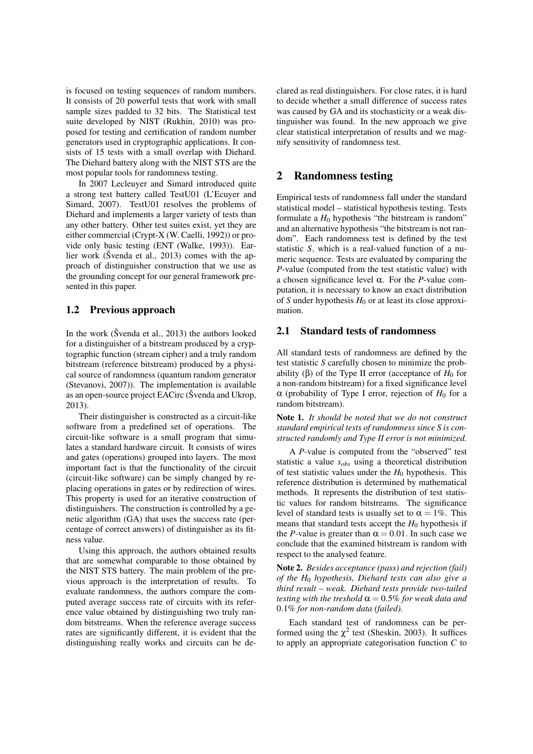is focused on testing sequences of random numbers. It consists of 20 powerful tests that work with small sample sizes padded to 32 bits. The Statistical test suite developed by NIST (Rukhin, 2010) was proposed for testing and certification of random number generators used in cryptographic applications. It consists of 15 tests with a small overlap with Diehard. The Diehard battery along with the NIST STS are the most popular tools for randomness testing.

In 2007 Lecleuyer and Simard introduced quite a strong test battery called TestU01 (L'Ecuyer and Simard, 2007). TestU01 resolves the problems of Diehard and implements a larger variety of tests than any other battery. Other test suites exist, yet they are either commercial (Crypt-X (W. Caelli, 1992)) or provide only basic testing (ENT (Walke, 1993)). Earlier work (Švenda et al., 2013) comes with the approach of distinguisher construction that we use as the grounding concept for our general framework presented in this paper.

## 1.2 Previous approach

In the work (Švenda et al.,  $2013$ ) the authors looked for a distinguisher of a bitstream produced by a cryptographic function (stream cipher) and a truly random bitstream (reference bitstream) produced by a physical source of randomness (quantum random generator (Stevanovi, 2007)). The implementation is available as an open-source project EACirc (Švenda and Ukrop, 2013).

Their distinguisher is constructed as a circuit-like software from a predefined set of operations. The circuit-like software is a small program that simulates a standard hardware circuit. It consists of wires and gates (operations) grouped into layers. The most important fact is that the functionality of the circuit (circuit-like software) can be simply changed by replacing operations in gates or by redirection of wires. This property is used for an iterative construction of distinguishers. The construction is controlled by a genetic algorithm (GA) that uses the success rate (percentage of correct answers) of distinguisher as its fitness value.

Using this approach, the authors obtained results that are somewhat comparable to those obtained by the NIST STS battery. The main problem of the previous approach is the interpretation of results. To evaluate randomness, the authors compare the computed average success rate of circuits with its reference value obtained by distinguishing two truly random bitstreams. When the reference average success rates are significantly different, it is evident that the distinguishing really works and circuits can be declared as real distinguishers. For close rates, it is hard to decide whether a small difference of success rates was caused by GA and its stochasticity or a weak distinguisher was found. In the new approach we give clear statistical interpretation of results and we magnify sensitivity of randomness test.

# 2 Randomness testing

Empirical tests of randomness fall under the standard statistical model – statistical hypothesis testing. Tests formulate a  $H_0$  hypothesis "the bitstream is random" and an alternative hypothesis "the bitstream is not random". Each randomness test is defined by the test statistic *S*, which is a real-valued function of a numeric sequence. Tests are evaluated by comparing the *P*-value (computed from the test statistic value) with a chosen significance level  $\alpha$ . For the *P*-value computation, it is necessary to know an exact distribution of *S* under hypothesis  $H_0$  or at least its close approximation.

### 2.1 Standard tests of randomness

All standard tests of randomness are defined by the test statistic *S* carefully chosen to minimize the probability (β) of the Type II error (acceptance of  $H_0$  for a non-random bitstream) for a fixed significance level  $\alpha$  (probability of Type I error, rejection of  $H_0$  for a random bitstream).

Note 1. *It should be noted that we do not construct standard empirical tests of randomness since S is constructed randomly and Type II error is not minimized.*

A *P*-value is computed from the "observed" test statistic a value *sobs* using a theoretical distribution of test statistic values under the  $H_0$  hypothesis. This reference distribution is determined by mathematical methods. It represents the distribution of test statistic values for random bitstreams. The significance level of standard tests is usually set to  $\alpha = 1\%$ . This means that standard tests accept the  $H_0$  hypothesis if the *P*-value is greater than  $\alpha = 0.01$ . In such case we conclude that the examined bitstream is random with respect to the analysed feature.

Note 2. *Besides acceptance (pass) and rejection (fail) of the H*<sup>0</sup> *hypothesis, Diehard tests can also give a third result – weak. Diehard tests provide two-tailed testing with the treshold*  $\alpha = 0.5\%$  *for weak data and* 0.1% *for non-random data (failed).*

Each standard test of randomness can be performed using the  $\chi^2$  test (Sheskin, 2003). It suffices to apply an appropriate categorisation function *C* to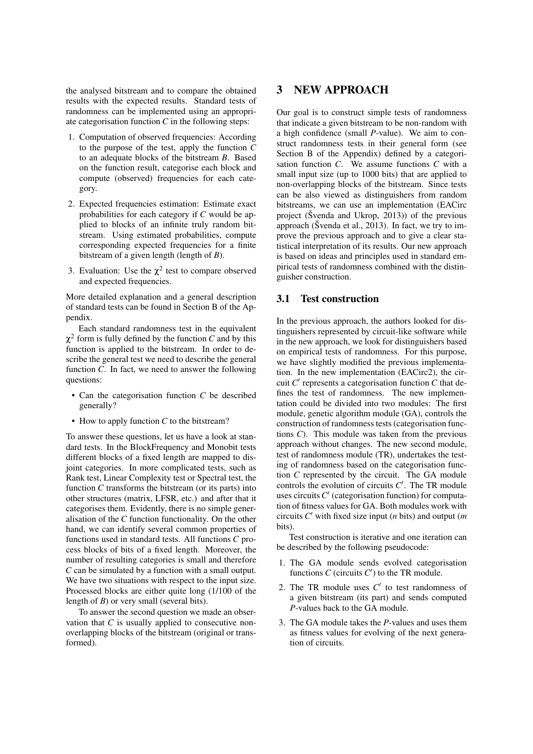the analysed bitstream and to compare the obtained results with the expected results. Standard tests of randomness can be implemented using an appropriate categorisation function *C* in the following steps:

- 1. Computation of observed frequencies: According to the purpose of the test, apply the function *C* to an adequate blocks of the bitstream *B*. Based on the function result, categorise each block and compute (observed) frequencies for each category.
- 2. Expected frequencies estimation: Estimate exact probabilities for each category if *C* would be applied to blocks of an infinite truly random bitstream. Using estimated probabilities, compute corresponding expected frequencies for a finite bitstream of a given length (length of *B*).
- 3. Evaluation: Use the  $\chi^2$  test to compare observed and expected frequencies.

More detailed explanation and a general description of standard tests can be found in Section B of the Appendix.

Each standard randomness test in the equivalent  $\chi^2$  form is fully defined by the function *C* and by this function is applied to the bitstream. In order to describe the general test we need to describe the general function *C*. In fact, we need to answer the following questions:

- Can the categorisation function *C* be described generally?
- How to apply function *C* to the bitstream?

To answer these questions, let us have a look at standard tests. In the BlockFrequency and Monobit tests different blocks of a fixed length are mapped to disjoint categories. In more complicated tests, such as Rank test, Linear Complexity test or Spectral test, the function *C* transforms the bitstream (or its parts) into other structures (matrix, LFSR, etc.) and after that it categorises them. Evidently, there is no simple generalisation of the *C* function functionality. On the other hand, we can identify several common properties of functions used in standard tests. All functions *C* process blocks of bits of a fixed length. Moreover, the number of resulting categories is small and therefore *C* can be simulated by a function with a small output. We have two situations with respect to the input size. Processed blocks are either quite long (1/100 of the length of *B*) or very small (several bits).

To answer the second question we made an observation that *C* is usually applied to consecutive nonoverlapping blocks of the bitstream (original or transformed).

# 3 NEW APPROACH

Our goal is to construct simple tests of randomness that indicate a given bitstream to be non-random with a high confidence (small *P*-value). We aim to construct randomness tests in their general form (see Section B of the Appendix) defined by a categorisation function *C*. We assume functions *C* with a small input size (up to 1000 bits) that are applied to non-overlapping blocks of the bitstream. Since tests can be also viewed as distinguishers from random bitstreams, we can use an implementation (EACirc project ( $\text{\r{S}}$ venda and Ukrop, 2013)) of the previous approach (Švenda et al., 2013). In fact, we try to improve the previous approach and to give a clear statistical interpretation of its results. Our new approach is based on ideas and principles used in standard empirical tests of randomness combined with the distinguisher construction.

### 3.1 Test construction

In the previous approach, the authors looked for distinguishers represented by circuit-like software while in the new approach, we look for distinguishers based on empirical tests of randomness. For this purpose, we have slightly modified the previous implementation. In the new implementation (EACirc2), the circuit  $C'$  represents a categorisation function  $C$  that defines the test of randomness. The new implementation could be divided into two modules: The first module, genetic algorithm module (GA), controls the construction of randomness tests (categorisation functions *C*). This module was taken from the previous approach without changes. The new second module, test of randomness module (TR), undertakes the testing of randomness based on the categorisation function *C* represented by the circuit. The GA module controls the evolution of circuits  $C'$ . The TR module uses circuits  $C'$  (categorisation function) for computation of fitness values for GA. Both modules work with circuits  $C'$  with fixed size input (*n* bits) and output (*m* bits).

Test construction is iterative and one iteration can be described by the following pseudocode:

- 1. The GA module sends evolved categorisation functions  $C$  (circuits  $C'$ ) to the TR module.
- 2. The TR module uses  $C'$  to test randomness of a given bitstream (its part) and sends computed *P*-values back to the GA module.
- 3. The GA module takes the *P*-values and uses them as fitness values for evolving of the next generation of circuits.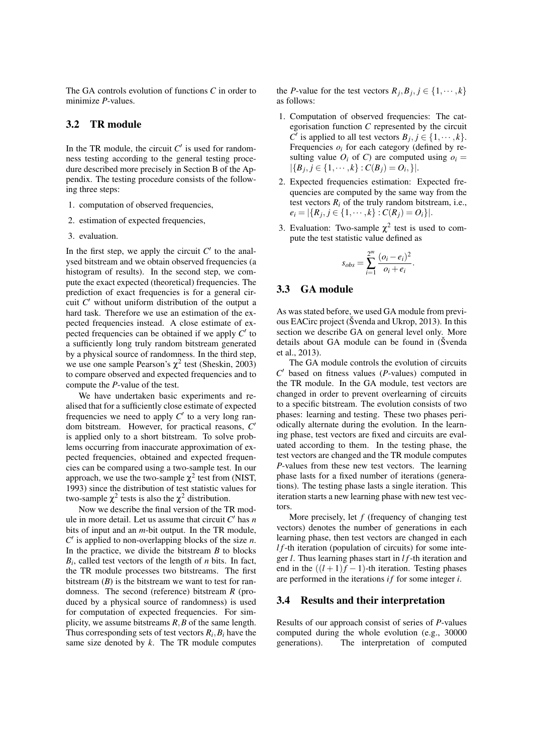The GA controls evolution of functions *C* in order to minimize *P*-values.

# 3.2 TR module

In the TR module, the circuit  $C'$  is used for randomness testing according to the general testing procedure described more precisely in Section B of the Appendix. The testing procedure consists of the following three steps:

- 1. computation of observed frequencies,
- 2. estimation of expected frequencies,
- 3. evaluation.

In the first step, we apply the circuit  $C'$  to the analysed bitstream and we obtain observed frequencies (a histogram of results). In the second step, we compute the exact expected (theoretical) frequencies. The prediction of exact frequencies is for a general circuit  $C'$  without uniform distribution of the output a hard task. Therefore we use an estimation of the expected frequencies instead. A close estimate of expected frequencies can be obtained if we apply  $C'$  to a sufficiently long truly random bitstream generated by a physical source of randomness. In the third step, we use one sample Pearson's  $\chi^2$  test (Sheskin, 2003) to compare observed and expected frequencies and to compute the *P*-value of the test.

We have undertaken basic experiments and realised that for a sufficiently close estimate of expected frequencies we need to apply  $C'$  to a very long random bitstream. However, for practical reasons,  $C'$ is applied only to a short bitstream. To solve problems occurring from inaccurate approximation of expected frequencies, obtained and expected frequencies can be compared using a two-sample test. In our approach, we use the two-sample  $\chi^2$  test from (NIST, 1993) since the distribution of test statistic values for two-sample  $\chi^2$  tests is also the  $\chi^2$  distribution.

Now we describe the final version of the TR module in more detail. Let us assume that circuit  $C'$  has  $n$ bits of input and an *m*-bit output. In the TR module,  $C'$  is applied to non-overlapping blocks of the size  $n$ . In the practice, we divide the bitstream *B* to blocks *Bi* , called test vectors of the length of *n* bits. In fact, the TR module processes two bitstreams. The first bitstream  $(B)$  is the bitstream we want to test for randomness. The second (reference) bitstream *R* (produced by a physical source of randomness) is used for computation of expected frequencies. For simplicity, we assume bitstreams *R*,*B* of the same length. Thus corresponding sets of test vectors  $R_i, B_i$  have the same size denoted by *k*. The TR module computes the *P*-value for the test vectors  $R_j, B_j, j \in \{1, \dots, k\}$ as follows:

- 1. Computation of observed frequencies: The categorisation function *C* represented by the circuit  $C^j$  is applied to all test vectors  $B_j$ ,  $j \in \{1, \dots, k\}$ . Frequencies  $o_i$  for each category (defined by resulting value  $O_i$  of C) are computed using  $o_i =$  $|\{B_j, j \in \{1, \cdots, k\} : C(B_j) = O_i\}|.$
- 2. Expected frequencies estimation: Expected frequencies are computed by the same way from the test vectors  $R_i$  of the truly random bitstream, i.e.,  $e_i = |\{R_j, j \in \{1, \cdots, k\} : C(R_j) = O_i\}|.$
- 3. Evaluation: Two-sample  $\chi^2$  test is used to compute the test statistic value defined as

$$
s_{obs} = \sum_{i=1}^{2^m} \frac{(o_i - e_i)^2}{o_i + e_i}.
$$

### 3.3 GA module

As was stated before, we used GA module from previous EACirc project ( $\check{\text{S}}$  venda and Ukrop, 2013). In this section we describe GA on general level only. More details about GA module can be found in (Svenda et al., 2013).

The GA module controls the evolution of circuits  $C'$  based on fitness values ( $P$ -values) computed in the TR module. In the GA module, test vectors are changed in order to prevent overlearning of circuits to a specific bitstream. The evolution consists of two phases: learning and testing. These two phases periodically alternate during the evolution. In the learning phase, test vectors are fixed and circuits are evaluated according to them. In the testing phase, the test vectors are changed and the TR module computes *P*-values from these new test vectors. The learning phase lasts for a fixed number of iterations (generations). The testing phase lasts a single iteration. This iteration starts a new learning phase with new test vectors.

More precisely, let *f* (frequency of changing test vectors) denotes the number of generations in each learning phase, then test vectors are changed in each *l f*-th iteration (population of circuits) for some integer *l*. Thus learning phases start in *l f*-th iteration and end in the  $((l + 1)f - 1)$ -th iteration. Testing phases are performed in the iterations *i f* for some integer *i*.

#### 3.4 Results and their interpretation

Results of our approach consist of series of *P*-values computed during the whole evolution (e.g., 30000 generations). The interpretation of computed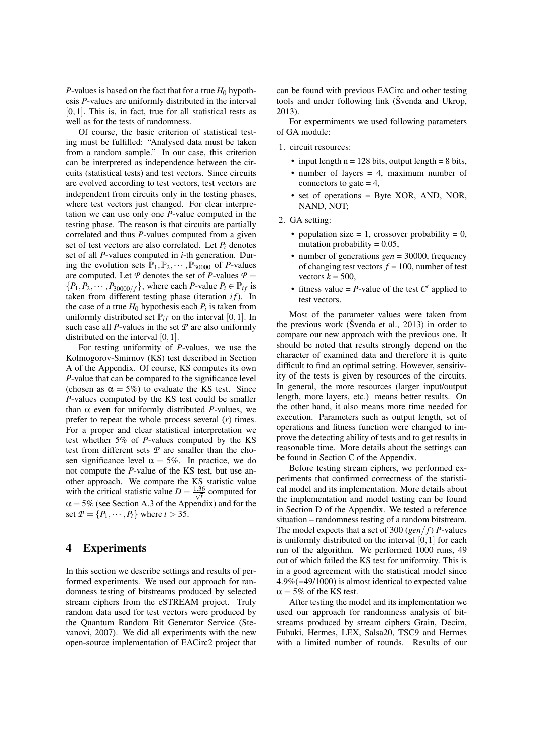*P*-values is based on the fact that for a true  $H_0$  hypothesis *P*-values are uniformly distributed in the interval  $[0,1]$ . This is, in fact, true for all statistical tests as well as for the tests of randomness.

Of course, the basic criterion of statistical testing must be fulfilled: "Analysed data must be taken from a random sample." In our case, this criterion can be interpreted as independence between the circuits (statistical tests) and test vectors. Since circuits are evolved according to test vectors, test vectors are independent from circuits only in the testing phases, where test vectors just changed. For clear interpretation we can use only one *P*-value computed in the testing phase. The reason is that circuits are partially correlated and thus *P*-values computed from a given set of test vectors are also correlated. Let  $P_i$  denotes set of all *P*-values computed in *i*-th generation. During the evolution sets  $\mathbb{P}_1, \mathbb{P}_2, \cdots, \mathbb{P}_{30000}$  of *P*-values are computed. Let  $P$  denotes the set of  $P$ -values  $P =$  ${P_1, P_2, \cdots, P_{30000/f}}$ , where each *P*-value  $P_i \in \mathbb{P}_{if}$  is taken from different testing phase (iteration *if*). In the case of a true  $H_0$  hypothesis each  $P_i$  is taken from uniformly distributed set  $\mathbb{P}_{if}$  on the interval [0, 1]. In such case all *P*-values in the set *P* are also uniformly distributed on the interval [0,1].

For testing uniformity of *P*-values, we use the Kolmogorov-Smirnov (KS) test described in Section A of the Appendix. Of course, KS computes its own *P*-value that can be compared to the significance level (chosen as  $\alpha = 5\%$ ) to evaluate the KS test. Since *P*-values computed by the KS test could be smaller than α even for uniformly distributed *P*-values, we prefer to repeat the whole process several (*r*) times. For a proper and clear statistical interpretation we test whether 5% of *P*-values computed by the KS test from different sets *P* are smaller than the chosen significance level  $\alpha = 5\%$ . In practice, we do not compute the *P*-value of the KS test, but use another approach. We compare the KS statistic value with the critical statistic value  $D = \frac{1.36}{\sqrt{t}}$  computed for  $\alpha = 5\%$  (see Section A.3 of the Appendix) and for the set  $P = \{P_1, \dots, P_t\}$  where  $t > 35$ .

# 4 Experiments

In this section we describe settings and results of performed experiments. We used our approach for randomness testing of bitstreams produced by selected stream ciphers from the eSTREAM project. Truly random data used for test vectors were produced by the Quantum Random Bit Generator Service (Stevanovi, 2007). We did all experiments with the new open-source implementation of EACirc2 project that can be found with previous EACirc and other testing tools and under following link (Švenda and Ukrop, 2013).

For expermiments we used following parameters of GA module:

- 1. circuit resources:
	- input length  $n = 128$  bits, output length  $= 8$  bits,
	- number of layers = 4, maximum number of connectors to gate  $= 4$ ,
	- set of operations = Byte XOR, AND, NOR, NAND, NOT;
- 2. GA setting:
	- population size  $= 1$ , crossover probability  $= 0$ , mutation probability  $= 0.05$ ,
	- number of generations *gen* = 30000, frequency of changing test vectors  $f = 100$ , number of test vectors  $k = 500$ ,
	- fitness value  $= P$ -value of the test  $C'$  applied to test vectors.

Most of the parameter values were taken from the previous work (Svenda et al.,  $2013$ ) in order to compare our new approach with the previous one. It should be noted that results strongly depend on the character of examined data and therefore it is quite difficult to find an optimal setting. However, sensitivity of the tests is given by resources of the circuits. In general, the more resources (larger input/output length, more layers, etc.) means better results. On the other hand, it also means more time needed for execution. Parameters such as output length, set of operations and fitness function were changed to improve the detecting ability of tests and to get results in reasonable time. More details about the settings can be found in Section C of the Appendix.

Before testing stream ciphers, we performed experiments that confirmed correctness of the statistical model and its implementation. More details about the implementation and model testing can be found in Section D of the Appendix. We tested a reference situation – randomness testing of a random bitstream. The model expects that a set of 300 (*gen*/ *f*) *P*-values is uniformly distributed on the interval [0,1] for each run of the algorithm. We performed 1000 runs, 49 out of which failed the KS test for uniformity. This is in a good agreement with the statistical model since 4.9%(=49/1000) is almost identical to expected value  $\alpha = 5\%$  of the KS test.

After testing the model and its implementation we used our approach for randomness analysis of bitstreams produced by stream ciphers Grain, Decim, Fubuki, Hermes, LEX, Salsa20, TSC9 and Hermes with a limited number of rounds. Results of our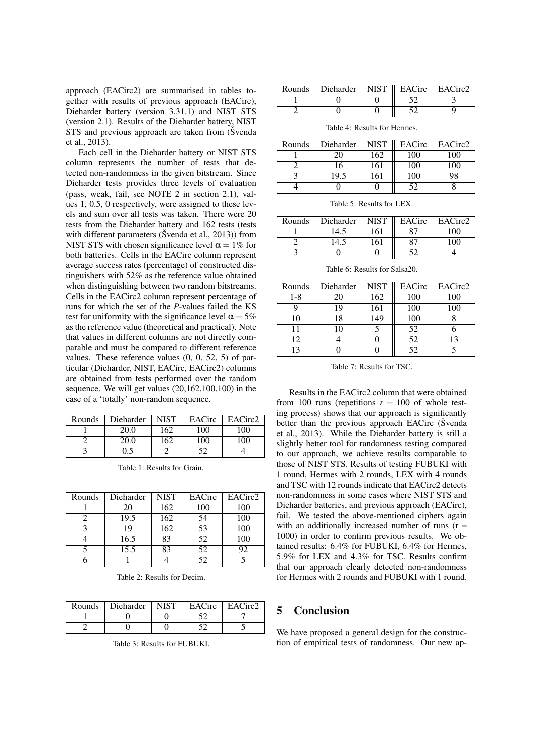approach (EACirc2) are summarised in tables together with results of previous approach (EACirc), Dieharder battery (version 3.31.1) and NIST STS (version 2.1). Results of the Dieharder battery, NIST STS and previous approach are taken from (Svenda et al., 2013).

Each cell in the Dieharder battery or NIST STS column represents the number of tests that detected non-randomness in the given bitstream. Since Dieharder tests provides three levels of evaluation (pass, weak, fail, see NOTE 2 in section 2.1), values 1, 0.5, 0 respectively, were assigned to these levels and sum over all tests was taken. There were 20 tests from the Dieharder battery and 162 tests (tests with different parameters ( $\text{\r{S}}$ venda et al., 2013)) from NIST STS with chosen significance level  $\alpha = 1\%$  for both batteries. Cells in the EACirc column represent average success rates (percentage) of constructed distinguishers with 52% as the reference value obtained when distinguishing between two random bitstreams. Cells in the EACirc2 column represent percentage of runs for which the set of the *P*-values failed the KS test for uniformity with the significance level  $\alpha = 5\%$ as the reference value (theoretical and practical). Note that values in different columns are not directly comparable and must be compared to different reference values. These reference values (0, 0, 52, 5) of particular (Dieharder, NIST, EACirc, EACirc2) columns are obtained from tests performed over the random sequence. We will get values (20,162,100,100) in the case of a 'totally' non-random sequence.

| Rounds | Dieharder | <b>NIST</b> | EACirc | EACirc2 |
|--------|-----------|-------------|--------|---------|
|        | 20.0      | 162         | .00    | 100     |
|        |           | 62          | .00    | 00      |
|        |           |             | ເາ     |         |

Table 1: Results for Grain.

| Rounds | Dieharder | <b>NIST</b> | EACirc | EACirc2 |
|--------|-----------|-------------|--------|---------|
|        | 20        | 162         | 100    | 100     |
|        | 19.5      | 162         | 54     | 100     |
|        | 19        | 162         | 53     | 100     |
|        | 16.5      | 83          | 52     | 100     |
|        | 15.5      | 83          | 52     | 92      |
|        |           |             | 52     |         |

Table 2: Results for Decim.

| Rounds | Dieharder | <b>NIST</b> | EACirc | EACirc2 |
|--------|-----------|-------------|--------|---------|
|        |           |             |        |         |
|        |           |             |        |         |

Table 3: Results for FUBUKI.

| Rounds   Dieharder   NIST | EACirc | EACirc2 |
|---------------------------|--------|---------|
|                           |        |         |
|                           |        |         |

Table 4: Results for Hermes.

| Rounds | Dieharder | <b>NIST</b> | EACirc | EACirc2 |
|--------|-----------|-------------|--------|---------|
|        |           | 162         | 100    | 00      |
|        | 16        | 161         | 100    | l00     |
|        | L9.3      | 161         | 100    |         |
|        |           |             |        |         |

Table 5: Results for LEX.

| Rounds | Dieharder | <b>NIST</b> | EACirc | EACirc2 |
|--------|-----------|-------------|--------|---------|
|        | 14.5      | 161         |        | იი      |
|        | 14.5      | 161         |        |         |
|        |           |             |        |         |

Table 6: Results for Salsa20.

| Rounds  | Dieharder | <b>NIST</b> | EACirc | EACirc2 |
|---------|-----------|-------------|--------|---------|
| $1 - 8$ | 20        | 162         | 100    | 100     |
|         | 19        | 161         | 100    | 100     |
| 10      | 18        | 149         | 100    |         |
| 11      | 10        |             | 52     |         |
| 12      |           |             | 52     | 13      |
| 13      |           |             | 52     |         |

Table 7: Results for TSC.

Results in the EACirc2 column that were obtained from 100 runs (repetitions  $r = 100$  of whole testing process) shows that our approach is significantly better than the previous approach EACirc (Svenda et al., 2013). While the Dieharder battery is still a slightly better tool for randomness testing compared to our approach, we achieve results comparable to those of NIST STS. Results of testing FUBUKI with 1 round, Hermes with 2 rounds, LEX with 4 rounds and TSC with 12 rounds indicate that EACirc2 detects non-randomness in some cases where NIST STS and Dieharder batteries, and previous approach (EACirc), fail. We tested the above-mentioned ciphers again with an additionally increased number of runs  $(r =$ 1000) in order to confirm previous results. We obtained results: 6.4% for FUBUKI, 6.4% for Hermes, 5.9% for LEX and 4.3% for TSC. Results confirm that our approach clearly detected non-randomness for Hermes with 2 rounds and FUBUKI with 1 round.

# 5 Conclusion

We have proposed a general design for the construction of empirical tests of randomness. Our new ap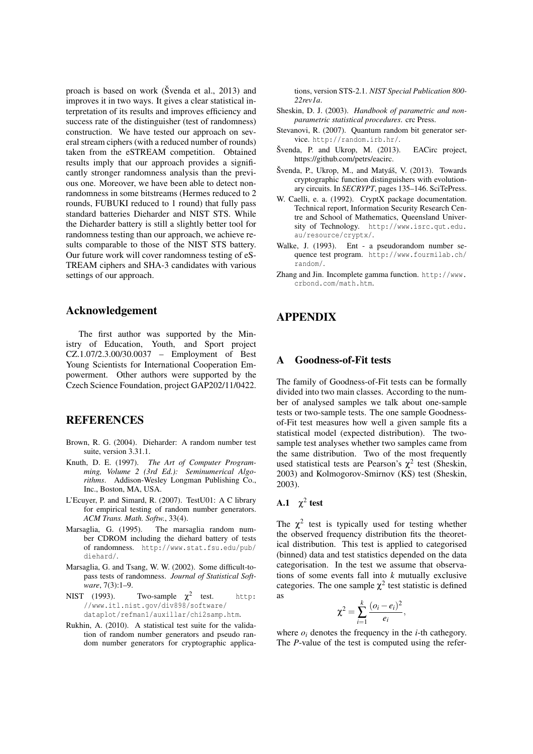proach is based on work ( $\check{S}$ venda et al., 2013) and improves it in two ways. It gives a clear statistical interpretation of its results and improves efficiency and success rate of the distinguisher (test of randomness) construction. We have tested our approach on several stream ciphers (with a reduced number of rounds) taken from the eSTREAM competition. Obtained results imply that our approach provides a significantly stronger randomness analysis than the previous one. Moreover, we have been able to detect nonrandomness in some bitstreams (Hermes reduced to 2 rounds, FUBUKI reduced to 1 round) that fully pass standard batteries Dieharder and NIST STS. While the Dieharder battery is still a slightly better tool for randomness testing than our approach, we achieve results comparable to those of the NIST STS battery. Our future work will cover randomness testing of eS-TREAM ciphers and SHA-3 candidates with various settings of our approach.

### Acknowledgement

The first author was supported by the Ministry of Education, Youth, and Sport project CZ.1.07/2.3.00/30.0037 – Employment of Best Young Scientists for International Cooperation Empowerment. Other authors were supported by the Czech Science Foundation, project GAP202/11/0422.

# REFERENCES

- Brown, R. G. (2004). Dieharder: A random number test suite, version 3.31.1.
- Knuth, D. E. (1997). *The Art of Computer Programming, Volume 2 (3rd Ed.): Seminumerical Algorithms*. Addison-Wesley Longman Publishing Co., Inc., Boston, MA, USA.
- L'Ecuyer, P. and Simard, R. (2007). TestU01: A C library for empirical testing of random number generators. *ACM Trans. Math. Softw.*, 33(4).
- Marsaglia, G. (1995). The marsaglia random number CDROM including the diehard battery of tests of randomness. http://www.stat.fsu.edu/pub/ diehard/.
- Marsaglia, G. and Tsang, W. W. (2002). Some difficult-topass tests of randomness. *Journal of Statistical Software*, 7(3):1–9.
- NIST (1993). Two-sample  $\chi^2$ http: //www.itl.nist.gov/div898/software/ dataplot/refman1/auxillar/chi2samp.htm.
- Rukhin, A. (2010). A statistical test suite for the validation of random number generators and pseudo random number generators for cryptographic applica-

tions, version STS-2.1. *NIST Special Publication 800- 22rev1a*.

- Sheskin, D. J. (2003). *Handbook of parametric and nonparametric statistical procedures*. crc Press.
- Stevanovi, R. (2007). Quantum random bit generator service. http://random.irb.hr/.
- $\check{S}$ venda, P. and Ukrop, M. (2013). EACirc project, https://github.com/petrs/eacirc.
- Švenda, P., Ukrop, M., and Matyáš, V. (2013). Towards cryptographic function distinguishers with evolutionary circuits. In *SECRYPT*, pages 135–146. SciTePress.
- W. Caelli, e. a. (1992). CryptX package documentation. Technical report, Information Security Research Centre and School of Mathematics, Queensland University of Technology. http://www.isrc.qut.edu. au/resource/cryptx/.
- Walke, J. (1993). Ent a pseudorandom number sequence test program. http://www.fourmilab.ch/ random/.
- Zhang and Jin. Incomplete gamma function. http://www. crbond.com/math.htm.

# APPENDIX

### A Goodness-of-Fit tests

The family of Goodness-of-Fit tests can be formally divided into two main classes. According to the number of analysed samples we talk about one-sample tests or two-sample tests. The one sample Goodnessof-Fit test measures how well a given sample fits a statistical model (expected distribution). The twosample test analyses whether two samples came from the same distribution. Two of the most frequently used statistical tests are Pearson's  $\chi^2$  test (Sheskin, 2003) and Kolmogorov-Smirnov (KS) test (Sheskin, 2003).

# A.1  $\chi^2$  test

The  $\chi^2$  test is typically used for testing whether the observed frequency distribution fits the theoretical distribution. This test is applied to categorised (binned) data and test statistics depended on the data categorisation. In the test we assume that observations of some events fall into *k* mutually exclusive categories. The one sample  $\chi^2$  test statistic is defined as

$$
\chi^2=\sum_{i=1}^k\frac{(o_i-e_i)^2}{e_i},
$$

where  $o_i$  denotes the frequency in the *i*-th cathegory. The *P*-value of the test is computed using the refer-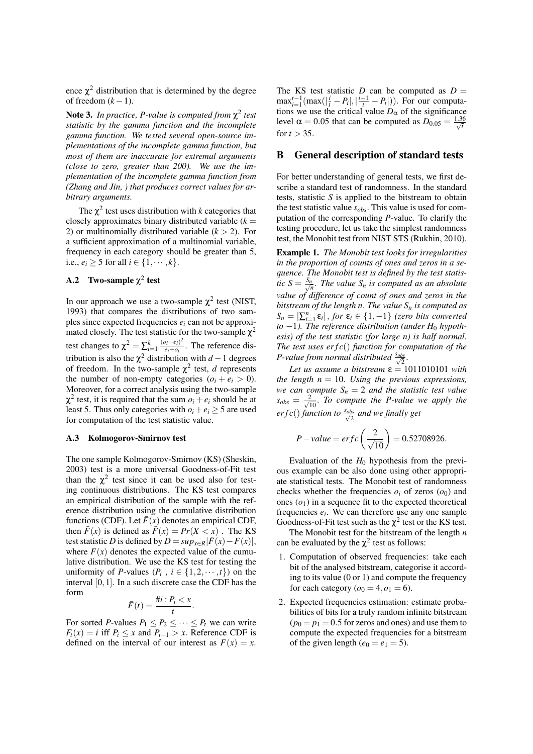ence  $\chi^2$  distribution that is determined by the degree of freedom  $(k-1)$ .

Note 3. *In practice, P-value is computed from* χ 2 *test statistic by the gamma function and the incomplete gamma function. We tested several open-source implementations of the incomplete gamma function, but most of them are inaccurate for extremal arguments (close to zero, greater than 200). We use the implementation of the incomplete gamma function from (Zhang and Jin, ) that produces correct values for arbitrary arguments.*

The  $\chi^2$  test uses distribution with *k* categories that closely approximates binary distributed variable  $(k =$ 2) or multinomially distributed variable  $(k > 2)$ . For a sufficient approximation of a multinomial variable, frequency in each category should be greater than 5, *i.e.,*  $e_i$  ≥ 5 for all *i* ∈ {1, · · · , *k*}.

# A.2 Two-sample  $\chi^2$  test

In our approach we use a two-sample  $\chi^2$  test (NIST, 1993) that compares the distributions of two samples since expected frequencies *e<sup>i</sup>* can not be approximated closely. The test statistic for the two-sample  $\chi^2$ test changes to  $\chi^2 = \sum_{i=1}^k \frac{(o_i - e_i)^2}{e_i + o_i}$  $\frac{\partial i - e_i}{\partial i}$ . The reference distribution is also the  $\chi^2$  distribution with *d* − 1 degrees of freedom. In the two-sample  $\chi^2$  test, *d* represents the number of non-empty categories  $(o_i + e_i > 0)$ . Moreover, for a correct analysis using the two-sample  $\chi^2$  test, it is required that the sum  $o_i + e_i$  should be at least 5. Thus only categories with  $o_i + e_i \geq 5$  are used for computation of the test statistic value.

#### A.3 Kolmogorov-Smirnov test

The one sample Kolmogorov-Smirnov (KS) (Sheskin, 2003) test is a more universal Goodness-of-Fit test than the  $\chi^2$  test since it can be used also for testing continuous distributions. The KS test compares an empirical distribution of the sample with the reference distribution using the cumulative distribution functions (CDF). Let  $\bar{F}(x)$  denotes an empirical CDF, then  $\bar{F}(x)$  is defined as  $\bar{F}(x) = Pr(X < x)$ . The KS test statistic *D* is defined by  $D = \sup_{x \in R} |\overline{F}(x) - F(x)|$ , where  $F(x)$  denotes the expected value of the cumulative distribution. We use the KS test for testing the uniformity of *P*-values  $(P_i, i \in \{1, 2, \dots, t\})$  on the interval [0,1]. In a such discrete case the CDF has the form

$$
\bar{F}(t) = \frac{\#i : P_i < x}{t}.
$$

For sorted *P*-values  $P_1 \leq P_2 \leq \cdots \leq P_t$  we can write  $F_t(x) = i$  iff  $P_i \leq x$  and  $P_{i+1} > x$ . Reference CDF is defined on the interval of our interest as  $F(x) = x$ .

The KS test statistic  $D$  can be computed as  $D =$  $\max_{i=1}^{t-1} (\max(|\frac{i}{t} - P_i|, |\frac{i+1}{t} - P_i|)).$  For our computations we use the critical value  $D_{\alpha}$  of the significance level  $\alpha = 0.05$  that can be computed as  $D_{0.05} = \frac{1.36}{\sqrt{t}}$ for  $t > 35$ .

#### B General description of standard tests

For better understanding of general tests, we first describe a standard test of randomness. In the standard tests, statistic *S* is applied to the bitstream to obtain the test statistic value *sobs*. This value is used for computation of the corresponding *P*-value. To clarify the testing procedure, let us take the simplest randomness test, the Monobit test from NIST STS (Rukhin, 2010).

Example 1. *The Monobit test looks for irregularities in the proportion of counts of ones and zeros in a sequence. The Monobit test is defined by the test statisfic*  $S = \frac{S_n}{\sqrt{n}}$ *. The value*  $S_n$  *is computed as an absolute value of difference of count of ones and zeros in the bitstream of the length n. The value S<sup>n</sup> is computed as*  $S_n = \left| \sum_{i=1}^n \varepsilon_i \right|$ , *for*  $\varepsilon_i \in \{1, -1\}$  *(zero bits converted*  $to -1$ ). The reference distribution (under  $H_0$  hypoth*esis) of the test statistic (for large n) is half normal. The test uses er f c*() *function for computation of the P*-value from normal distributed  $\frac{s_{obs}}{\sqrt{2}}$ .

*Let us assume a bitstream*  $\varepsilon = 1011010101$  *with the length*  $n = 10$ *. Using the previous expressions, we can compute*  $S_n = 2$  *and the statistic test value*  $s_{obs} = \frac{2}{\sqrt{10}}$ . *To compute the P-value we apply the erf c*() *function to*  $\frac{s_{obs}}{\sqrt{2}}$  *and we finally get* 

$$
P-value = erfc\left(\frac{2}{\sqrt{10}}\right) = 0.52708926.
$$

Evaluation of the  $H_0$  hypothesis from the previous example can be also done using other appropriate statistical tests. The Monobit test of randomness checks whether the frequencies  $o_i$  of zeros  $(o_0)$  and ones  $(o_1)$  in a sequence fit to the expected theoretical frequencies  $e_i$ . We can therefore use any one sample Goodness-of-Fit test such as the  $\chi^2$  test or the KS test.

The Monobit test for the bitstream of the length *n* can be evaluated by the  $\chi^2$  test as follows:

- 1. Computation of observed frequencies: take each bit of the analysed bitstream, categorise it according to its value (0 or 1) and compute the frequency for each category ( $o_0 = 4$ ,  $o_1 = 6$ ).
- 2. Expected frequencies estimation: estimate probabilities of bits for a truly random infinite bitstream  $(p_0 = p_1 = 0.5$  for zeros and ones) and use them to compute the expected frequencies for a bitstream of the given length ( $e_0 = e_1 = 5$ ).